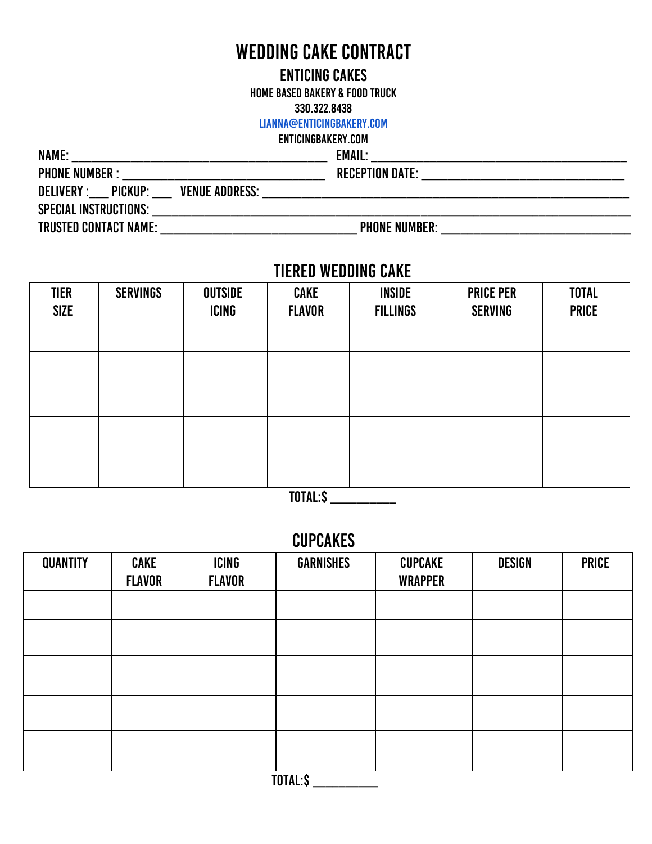# WEDDING CAKE CONTRACT

#### Enticing Cakes

Home Based Bakery & Food Truck

330.322.8438

#### [lianna@enticingbakery.com](mailto:lianna@enticingbakery.com)

# enticingbakery.com

| <b>EMAIL:</b><br><u> 1989 - Johann Stoff, amerikansk politiker (d. 1989)</u> |
|------------------------------------------------------------------------------|
|                                                                              |
|                                                                              |
|                                                                              |
| <b>PHONE NUMBER:</b>                                                         |
|                                                                              |

### TIERED WEDDING CAKE

| <b>TIER</b><br><b>SIZE</b> | <b>SERVINGS</b> | <b>OUTSIDE</b><br><b>ICING</b> | <b>CAKE</b><br><b>FLAVOR</b> | <b>INSIDE</b><br><b>FILLINGS</b> | <b>PRICE PER</b><br><b>SERVING</b> | <b>TOTAL</b><br><b>PRICE</b> |
|----------------------------|-----------------|--------------------------------|------------------------------|----------------------------------|------------------------------------|------------------------------|
|                            |                 |                                |                              |                                  |                                    |                              |
|                            |                 |                                |                              |                                  |                                    |                              |
|                            |                 |                                |                              |                                  |                                    |                              |
|                            |                 |                                |                              |                                  |                                    |                              |
|                            |                 |                                |                              |                                  |                                    |                              |

TOTAL:\$ \_\_\_\_\_\_\_\_\_\_

### **CUPCAKES**

| <b>QUANTITY</b> | <b>CAKE</b><br><b>FLAVOR</b> | ICING<br><b>FLAVOR</b> | <b>GARNISHES</b> | <b>CUPCAKE</b><br><b>WRAPPER</b> | <b>DESIGN</b> | <b>PRICE</b> |
|-----------------|------------------------------|------------------------|------------------|----------------------------------|---------------|--------------|
|                 |                              |                        |                  |                                  |               |              |
|                 |                              |                        |                  |                                  |               |              |
|                 |                              |                        |                  |                                  |               |              |
|                 |                              |                        |                  |                                  |               |              |
|                 |                              |                        |                  |                                  |               |              |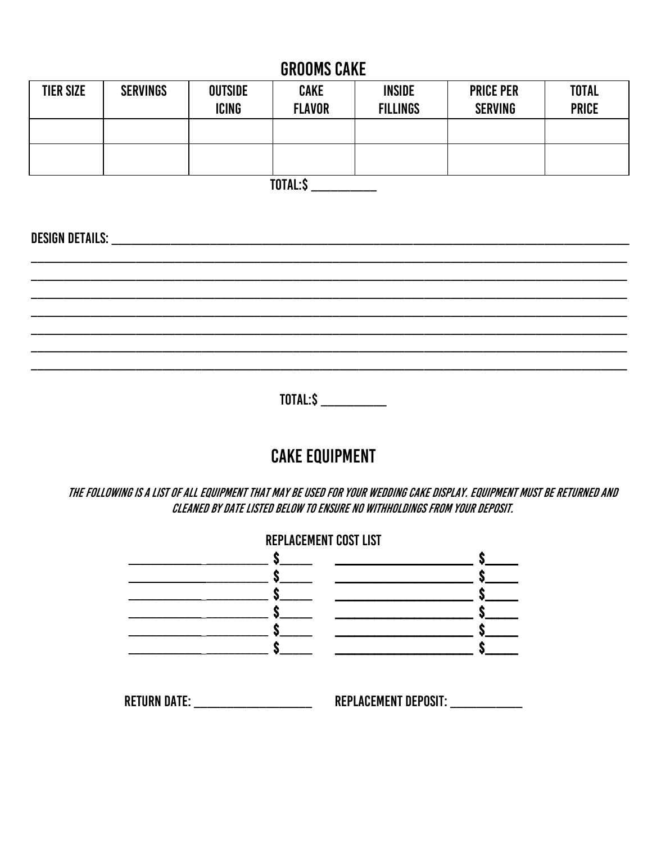# **GROOMS CAKE**

| <b>TIER SIZE</b> | <b>SERVINGS</b> | <b>OUTSIDE</b><br><b>ICING</b> | <b>CAKE</b><br><b>FLAVOR</b> | <b>INSIDE</b><br><b>FILLINGS</b> | <b>PRICE PER</b><br><b>SERVING</b> | <b>TOTAL</b><br><b>PRICE</b> |
|------------------|-----------------|--------------------------------|------------------------------|----------------------------------|------------------------------------|------------------------------|
|                  |                 |                                |                              |                                  |                                    |                              |
|                  |                 |                                |                              |                                  |                                    |                              |

TOTAL:\$

TOTAL:\$ \_\_\_\_\_\_\_\_\_\_\_

# **CAKE EQUIPMENT**

THE FOLLOWING IS A LIST OF ALL EQUIPMENT THAT MAY BE USED FOR YOUR WEDDING CAKE DISPLAY. EQUIPMENT MUST BE RETURNED AND CLEANED BY DATE LISTED BELOW TO ENSURE NO WITHHOLDINGS FROM YOUR DEPOSIT.

|                                         | REPLACEMENT COST LIST |
|-----------------------------------------|-----------------------|
| $\mathcal{L}^{\text{max}}_{\text{max}}$ |                       |
| <b>RETURN DATE:</b> No. 1996            | REPLACEMENT DEPOSIT:  |